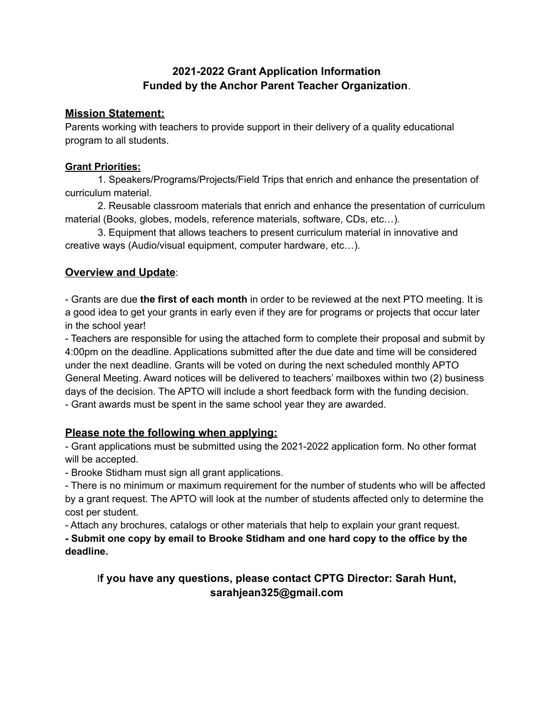# **2021-2022 Grant Application Information Funded by the Anchor Parent Teacher Organization**.

## **Mission Statement:**

Parents working with teachers to provide support in their delivery of a quality educational program to all students.

#### **Grant Priorities:**

1. Speakers/Programs/Projects/Field Trips that enrich and enhance the presentation of curriculum material.

2. Reusable classroom materials that enrich and enhance the presentation of curriculum material (Books, globes, models, reference materials, software, CDs, etc…).

3. Equipment that allows teachers to present curriculum material in innovative and creative ways (Audio/visual equipment, computer hardware, etc…).

# **Overview and Update**:

- Grants are due **the first of each month** in order to be reviewed at the next PTO meeting. It is a good idea to get your grants in early even if they are for programs or projects that occur later in the school year!

- Teachers are responsible for using the attached form to complete their proposal and submit by 4:00pm on the deadline. Applications submitted after the due date and time will be considered under the next deadline. Grants will be voted on during the next scheduled monthly APTO General Meeting. Award notices will be delivered to teachers' mailboxes within two (2) business days of the decision. The APTO will include a short feedback form with the funding decision. - Grant awards must be spent in the same school year they are awarded.

# **Please note the following when applying:**

- Grant applications must be submitted using the 2021-2022 application form. No other format will be accepted.

- Brooke Stidham must sign all grant applications.

- There is no minimum or maximum requirement for the number of students who will be affected by a grant request. The APTO will look at the number of students affected only to determine the cost per student.

- Attach any brochures, catalogs or other materials that help to explain your grant request.

**- Submit one copy by email to Brooke Stidham and one hard copy to the office by the deadline.**

# I**f you have any questions, please contact CPTG Director: Sarah Hunt, sarahjean325@gmail.com**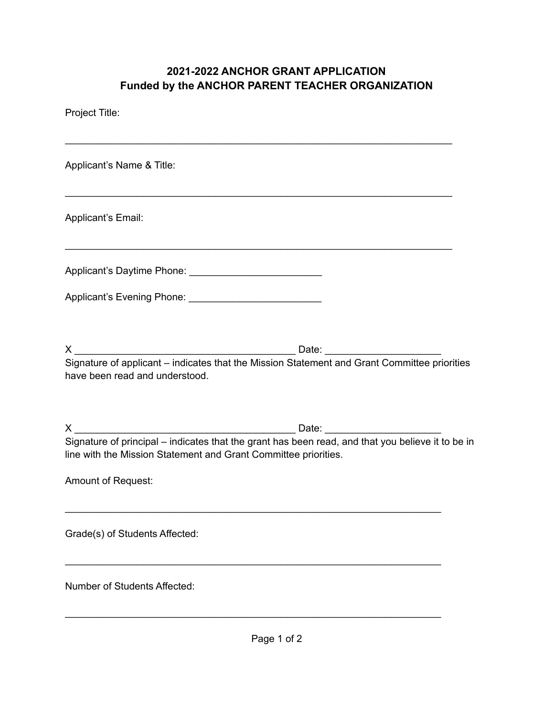# **2021-2022 ANCHOR GRANT APPLICATION Funded by the ANCHOR PARENT TEACHER ORGANIZATION**

| Project Title:                                                                                                                                                       |  |
|----------------------------------------------------------------------------------------------------------------------------------------------------------------------|--|
| Applicant's Name & Title:                                                                                                                                            |  |
| Applicant's Email:                                                                                                                                                   |  |
|                                                                                                                                                                      |  |
|                                                                                                                                                                      |  |
| Signature of applicant - indicates that the Mission Statement and Grant Committee priorities<br>have been read and understood.                                       |  |
| Signature of principal - indicates that the grant has been read, and that you believe it to be in<br>line with the Mission Statement and Grant Committee priorities. |  |
| Amount of Request:                                                                                                                                                   |  |
| Grade(s) of Students Affected:                                                                                                                                       |  |
| <b>Number of Students Affected:</b>                                                                                                                                  |  |
|                                                                                                                                                                      |  |